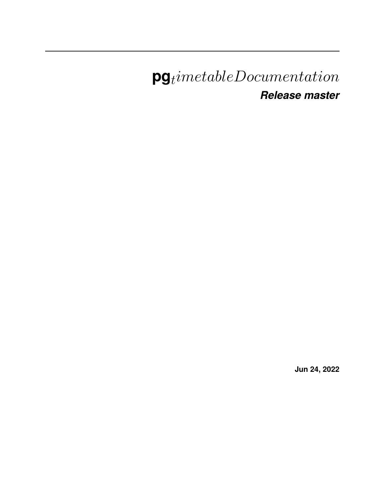# $\mathbf{pg}_t$ imetableDocumentation *Release master*

**Jun 24, 2022**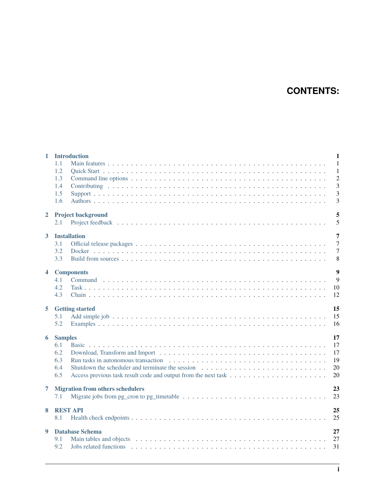## **CONTENTS:**

| $\mathbf{1}$            |                | <b>Introduction</b>                     | $\mathbf{1}$   |
|-------------------------|----------------|-----------------------------------------|----------------|
|                         | 1.1            |                                         | $\overline{1}$ |
|                         | 1.2            |                                         | -1             |
|                         | 1.3            |                                         | $\overline{2}$ |
|                         | 1.4            |                                         | $\overline{3}$ |
|                         | 1.5            |                                         | 3              |
|                         | 1.6            |                                         | 3              |
| $\overline{2}$          |                | <b>Project background</b>               | 5              |
|                         | 2.1            |                                         | 5              |
| $\mathbf{3}$            |                | <b>Installation</b>                     | 7              |
|                         | 3.1            |                                         | $\overline{7}$ |
|                         | 3.2            |                                         | $\overline{7}$ |
|                         | 3.3            |                                         | 8              |
| $\overline{\mathbf{4}}$ |                | <b>Components</b>                       | $\overline{9}$ |
|                         | 4.1            |                                         | 9              |
|                         | 4.2            |                                         | 10             |
|                         | 4.3            |                                         | 12             |
| 5                       |                | <b>Getting started</b>                  | 15             |
|                         |                |                                         |                |
|                         | 5.1            |                                         | 15             |
|                         | 5.2            |                                         | 16             |
| 6                       | <b>Samples</b> |                                         | 17             |
|                         | 6.1            |                                         | 17             |
|                         | 6.2            |                                         | 17             |
|                         | 6.3            |                                         | 19             |
|                         | 6.4            |                                         | 20             |
|                         | 6.5            |                                         | 20             |
| 7                       |                | <b>Migration from others schedulers</b> | 23             |
|                         | 7.1            |                                         | 23             |
| 8                       |                | <b>REST API</b>                         | 25             |
|                         | 8.1            |                                         | 25             |
| 9                       |                | <b>Database Schema</b>                  | 27             |
|                         | 9.1<br>9.2     |                                         | 27<br>31       |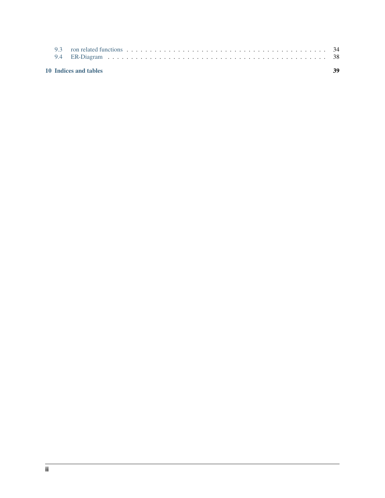|  | 10 Indices and tables | 39 |
|--|-----------------------|----|
|  |                       |    |
|  |                       |    |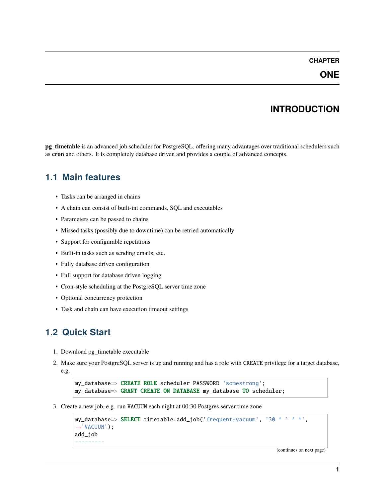## **INTRODUCTION**

<span id="page-4-0"></span>**pg\_timetable** is an advanced job scheduler for PostgreSQL, offering many advantages over traditional schedulers such as **cron** and others. It is completely database driven and provides a couple of advanced concepts.

### <span id="page-4-1"></span>**1.1 Main features**

- Tasks can be arranged in chains
- A chain can consist of built-int commands, SQL and executables
- Parameters can be passed to chains
- Missed tasks (possibly due to downtime) can be retried automatically
- Support for configurable repetitions
- Built-in tasks such as sending emails, etc.
- Fully database driven configuration
- Full support for database driven logging
- Cron-style scheduling at the PostgreSQL server time zone
- Optional concurrency protection
- Task and chain can have execution timeout settings

## <span id="page-4-2"></span>**1.2 Quick Start**

- 1. Download pg\_timetable executable
- 2. Make sure your PostgreSQL server is up and running and has a role with CREATE privilege for a target database, e.g.

```
my_database=> CREATE ROLE scheduler PASSWORD 'somestrong';
my_database=> GRANT CREATE ON DATABASE my_database TO scheduler;
```
3. Create a new job, e.g. run VACUUM each night at 00:30 Postgres server time zone

```
my\_database \Rightarrow SELECT timetable.add_job('frequent-vacuum', '30 * * * *',
˓→'VACUUM');
add_job
---------
```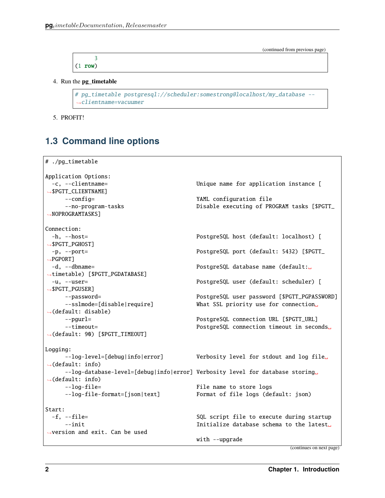| -       |  |  |  |
|---------|--|--|--|
| (1 row) |  |  |  |

4. Run the **pg\_timetable**

```
# pg_timetable postgresql://scheduler:somestrong@localhost/my_database --
 ˓→clientname=vacuumer
```
5. PROFIT!

## <span id="page-5-0"></span>**1.3 Command line options**

```
# ./pg_timetable
Application Options:
 -c, --clientname= Unique name for application instance [
˓→$PGTT_CLIENTNAME]
    --config= YAML configuration file
    --no-program-tasks \qquad \qquad Disable executing of PROGRAM tasks [$PGTT_
→NOPROGRAMTASKS]
Connection:
 -h, --host= PostgreSQL host (default: localhost) [
˓→$PGTT_PGHOST]
 -p, --port= PostgreSQL port (default: 5432) [$PGTT_
\rightarrowPGPORT]
 -d, --dbname= PostgreSQL database name (default:␣
˓→timetable) [$PGTT_PGDATABASE]
 -u, --user= PostgreSQL user (default: scheduler) [
˓→$PGTT_PGUSER]
    --password= PostgreSQL user password [$PGTT_PGPASSWORD]
    --sslmode=[disable|require] What SSL priority use for connection␣
˓→(default: disable)
    --pgurl= PostgreSQL connection URL [$PGTT_URL]
    --timeout= PostgreSQL connection timeout in seconds␣
˓→(default: 90) [$PGTT_TIMEOUT]
Logging:
    --log-level=[debug|info|error] Verbosity level for stdout and log file
\rightarrow(default: info)
    --log-database-level=[debug|info|error] Verbosity level for database storing
\rightarrow(default: info)
    --log-file= The name to store logs
    --log-file-format=[json|text] Format of file logs (default: json)
Start:
 -f, --file= SQL script file to execute during startup
    --init Initialize database schema to the latest␣
˓→version and exit. Can be used
                                   with --upgrade
```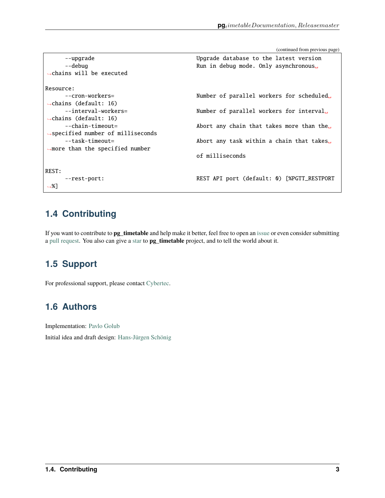| --upgrade<br>--debug<br>$\rightarrow$ chains will be executed | Upgrade database to the latest version<br>Run in debug mode. Only asynchronous |
|---------------------------------------------------------------|--------------------------------------------------------------------------------|
| Resource:                                                     |                                                                                |
| $--cron-workers=$                                             | Number of parallel workers for scheduled                                       |
| $\rightarrow$ chains (default: 16)                            |                                                                                |
| --interval-workers=                                           | Number of parallel workers for interval                                        |
| $\rightarrow$ chains (default: 16)                            |                                                                                |
| --chain-timeout=                                              | Abort any chain that takes more than the                                       |
| $\rightarrow$ specified number of milliseconds                |                                                                                |
| --task-timeout=                                               | Abort any task within a chain that takes                                       |
| $\rightarrow$ more than the specified number                  |                                                                                |
|                                                               | of milliseconds                                                                |
|                                                               |                                                                                |
| REST:                                                         |                                                                                |
| $--rest-port:$                                                | REST API port (default: 0) [%PGTT_RESTPORT                                     |
| $\rightarrow 1$                                               |                                                                                |

## <span id="page-6-0"></span>**1.4 Contributing**

If you want to contribute to **pg\_timetable** and help make it better, feel free to open an [issue](https://github.com/cybertec-postgresql/pg_timetable/issues) or even consider submitting a [pull request.](https://github.com/cybertec-postgresql/pg_timetable/pulls) You also can give a [star](https://github.com/cybertec-postgresql/pg_timetable/stargazers) to **pg\_timetable** project, and to tell the world about it.

## <span id="page-6-1"></span>**1.5 Support**

For professional support, please contact [Cybertec.](https://www.cybertec-postgresql.com/)

## <span id="page-6-2"></span>**1.6 Authors**

Implementation: [Pavlo Golub](https://github.com/pashagolub)

Initial idea and draft design: [Hans-Jürgen Schönig](https://github.com/postgresql007)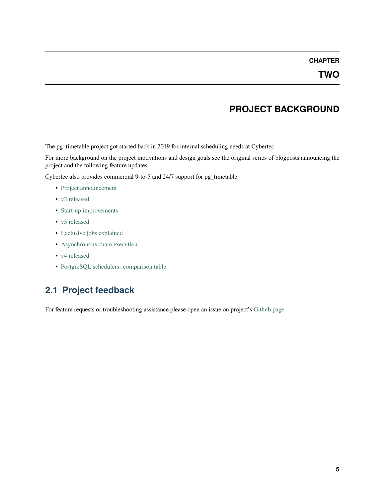### **PROJECT BACKGROUND**

<span id="page-8-0"></span>The pg\_timetable project got started back in 2019 for internal scheduling needs at Cybertec.

For more background on the project motivations and design goals see the original series of blogposts announcing the project and the following feature updates.

Cybertec also provides commercial 9-to-5 and 24/7 support for pg\_timetable.

- [Project announcement](https://www.cybertec-postgresql.com/en/pg_timetable-advanced-postgresql-job-scheduling/)
- [v2 released](https://www.cybertec-postgresql.com/en/pg_timetable-advanced-postgresql-cron-like-scheduler-released/)
- [Start-up improvements](https://www.cybertec-postgresql.com/en/pg_timetable-start-up-improvements/)
- [v3 released](https://www.cybertec-postgresql.com/en/pg_timetable-v3-is-out/)
- [Exclusive jobs explained](https://www.cybertec-postgresql.com/en/postgresql-exclusive-cron-jobs-using-pg_timetable-scheduler/)
- [Asynchronous chain execution](https://www.cybertec-postgresql.com/en/pg_timetable-asynchronous-chain-execution/)
- [v4 released](https://www.cybertec-postgresql.com/en/pg_timetable_v4-is-out/)
- [PostgreSQL schedulers: comparison table](https://www.cybertec-postgresql.com/en/postgresql-schedulers-comparison-table/)

## <span id="page-8-1"></span>**2.1 Project feedback**

For feature requests or troubleshooting assistance please open an issue on project's [Github page.](https://github.com/cybertec-postgresql/pg_timetable)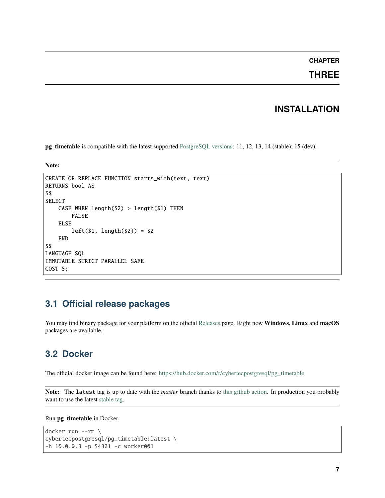### **THREE**

### **INSTALLATION**

<span id="page-10-0"></span>**pg\_timetable** is compatible with the latest supported [PostgreSQL versions:](https://www.postgresql.org/support/versioning/) 11, 12, 13, 14 (stable); 15 (dev).

**Note:**

```
CREATE OR REPLACE FUNCTION starts_with(text, text)
RETURNS bool AS
$$
SELECT
    CASE WHEN length(2) > length(1) THEN
        FALSE
    ELSE
        left($1, length($2)) = $2
    END
$$
LANGUAGE SQL
IMMUTABLE STRICT PARALLEL SAFE
COST 5;
```
### <span id="page-10-1"></span>**3.1 Official release packages**

You may find binary package for your platform on the official [Releases](https://github.com/cybertec-postgresql/pg_timetable/releases) page. Right now **Windows**, **Linux** and **macOS** packages are available.

### <span id="page-10-2"></span>**3.2 Docker**

The official docker image can be found here: [https://hub.docker.com/r/cybertecpostgresql/pg\\_timetable](https://hub.docker.com/r/cybertecpostgresql/pg_timetable)

**Note:** The latest tag is up to date with the *master* branch thanks to [this github action.](https://github.com/cybertec-postgresql/pg_timetable/blob/master/.github/workflows/docker.yml) In production you probably want to use the latest [stable tag.](https://hub.docker.com/r/cybertecpostgresql/pg_timetable/tags)

Run **pg\_timetable** in Docker:

```
docker run --rm \
cybertecpostgresql/pg_timetable:latest \
-h 10.0.0.3 -p 54321 -c worker001
```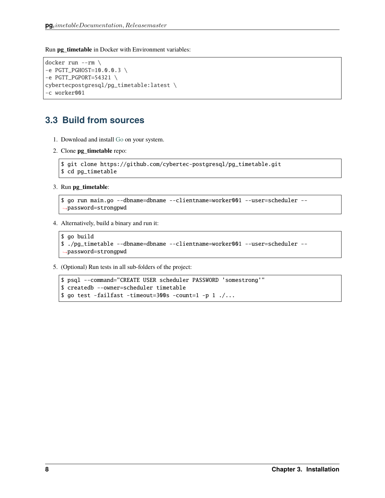Run **pg** timetable in Docker with Environment variables:

```
docker run --rm \
-e PGTT_PGHOST=10.0.0.3 \
-e PGTT_PGPORT=54321 \
cybertecpostgresql/pg_timetable:latest \
-c worker001
```
## <span id="page-11-0"></span>**3.3 Build from sources**

- 1. Download and install [Go](https://golang.org/doc/install) on your system.
- 2. Clone **pg\_timetable** repo:

```
$ git clone https://github.com/cybertec-postgresql/pg_timetable.git
$ cd pg_timetable
```
3. Run **pg\_timetable**:

```
$ go run main.go --dbname=dbname --clientname=worker001 --user=scheduler --
 ˓→password=strongpwd
```
4. Alternatively, build a binary and run it:

```
$ go build
$ ./pg_timetable --dbname=dbname --clientname=worker001 --user=scheduler --
˓→password=strongpwd
```
5. (Optional) Run tests in all sub-folders of the project:

```
$ psql --command="CREATE USER scheduler PASSWORD 'somestrong'"
$ createdb --owner=scheduler timetable
$ go test -failfast -timeout=300s -count=1 -p 1 ./...
```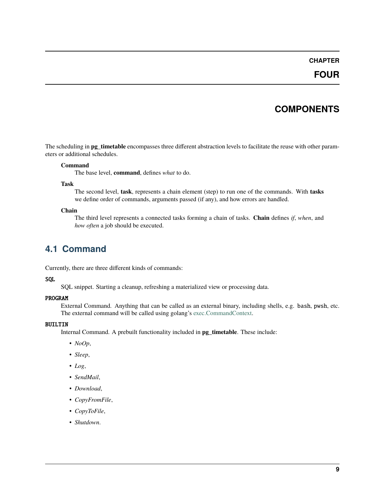### **FOUR**

## **COMPONENTS**

<span id="page-12-0"></span>The scheduling in **pg\_timetable** encompasses three different abstraction levels to facilitate the reuse with other parameters or additional schedules.

#### **Command**

The base level, **command**, defines *what* to do.

#### **Task**

The second level, **task**, represents a chain element (step) to run one of the commands. With **tasks** we define order of commands, arguments passed (if any), and how errors are handled.

#### **Chain**

The third level represents a connected tasks forming a chain of tasks. **Chain** defines *if*, *when*, and *how often* a job should be executed.

### <span id="page-12-1"></span>**4.1 Command**

Currently, there are three different kinds of commands:

#### **SOL**

SQL snippet. Starting a cleanup, refreshing a materialized view or processing data.

#### PROGRAM

External Command. Anything that can be called as an external binary, including shells, e.g. bash, pwsh, etc. The external command will be called using golang's [exec.CommandContext.](https://pkg.go.dev/os/exec#CommandContext)

#### BUILTIN

Internal Command. A prebuilt functionality included in **pg\_timetable**. These include:

- *NoOp*,
- *Sleep*,
- *Log*,
- *SendMail*,
- *Download*,
- *CopyFromFile*,
- *CopyToFile*,
- *Shutdown*.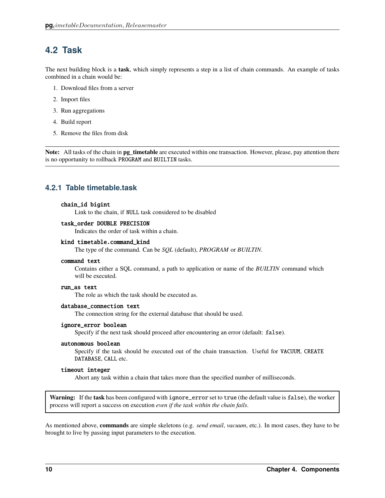### <span id="page-13-0"></span>**4.2 Task**

The next building block is a **task**, which simply represents a step in a list of chain commands. An example of tasks combined in a chain would be:

- 1. Download files from a server
- 2. Import files
- 3. Run aggregations
- 4. Build report
- 5. Remove the files from disk

**Note:** All tasks of the chain in **pg\_timetable** are executed within one transaction. However, please, pay attention there is no opportunity to rollback PROGRAM and BUILTIN tasks.

### **4.2.1 Table timetable.task**

#### chain\_id bigint

Link to the chain, if NULL task considered to be disabled

#### task\_order DOUBLE PRECISION

Indicates the order of task within a chain.

#### kind timetable.command\_kind

The type of the command. Can be *SQL* (default), *PROGRAM* or *BUILTIN*.

#### command text

Contains either a SQL command, a path to application or name of the *BUILTIN* command which will be executed.

#### run\_as text

The role as which the task should be executed as.

#### database\_connection text

The connection string for the external database that should be used.

#### ignore\_error boolean

Specify if the next task should proceed after encountering an error (default: false).

#### autonomous boolean

Specify if the task should be executed out of the chain transaction. Useful for VACUUM, CREATE DATABASE, CALL etc.

#### timeout integer

Abort any task within a chain that takes more than the specified number of milliseconds.

**Warning:** If the **task** has been configured with ignore\_error set to true (the default value is false), the worker process will report a success on execution *even if the task within the chain fails*.

As mentioned above, **commands** are simple skeletons (e.g. *send email*, *vacuum*, etc.). In most cases, they have to be brought to live by passing input parameters to the execution.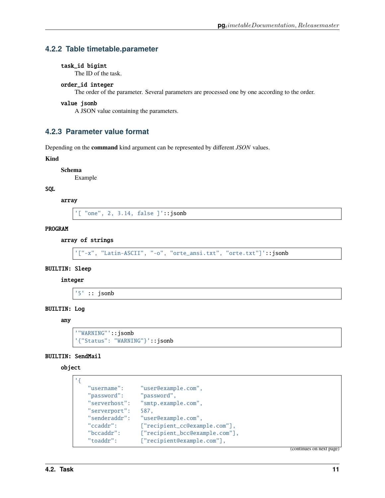### **4.2.2 Table timetable.parameter**

#### task\_id bigint

The ID of the task.

#### order\_id integer

The order of the parameter. Several parameters are processed one by one according to the order.

#### value jsonb

A JSON value containing the parameters.

#### **4.2.3 Parameter value format**

Depending on the **command** kind argument can be represented by different *JSON* values.

#### **Kind**

**Schema**

Example

#### SQL

array

'[ "one", 2, 3.14, false ]'::jsonb

#### PROGRAM

#### array of strings

```
'["-x", "Latin-ASCII", "-o", "orte_ansi.txt", "orte.txt"]'::jsonb
```
#### BUILTIN: Sleep

#### integer

'5' :: jsonb

#### BUILTIN: Log

any

```
'"WARNING"'::jsonb
'{"Status": "WARNING"}'::jsonb
```
#### BUILTIN: SendMail

#### object

```
'{
```

```
"username": "user@example.com",
"password": "password",
"serverhost": "smtp.example.com",
"serverport": 587,
"senderaddr": "user@example.com",
"ccaddr": ["recipient_cc@example.com"],
"bccaddr": ["recipient_bcc@example.com"],
"toaddr": ["recipient@example.com"],
```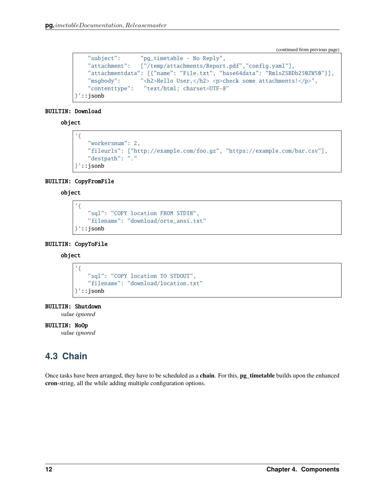```
"subject": "pg_timetable - No Reply",
  "attachment": ["/temp/attachments/Report.pdf","config.yaml"],
  "attachmentdata": [{"name": "File.txt", "base64data": "RmlsZSBDb250ZW50"}],
  "msgbody": "<h2>Hello User,</h2> <p>check some attachments!</p>",
  "contenttype": "text/html; charset=UTF-8"
}'::jsonb
```
#### BUILTIN: Download

object

```
'{
   "workersnum": 2,
   "fileurls": ["http://example.com/foo.gz", "https://example.com/bar.csv"],
   "destpath": "."
 }'::jsonb
```
#### BUILTIN: CopyFromFile

#### object

```
'{
   "sql": "COPY location FROM STDIN",
   "filename": "download/orte_ansi.txt"
}'::jsonb
```
#### BUILTIN: CopyToFile

#### object

```
'{
    "sql": "COPY location TO STDOUT",
    "filename": "download/location.txt"
}'::jsonb
```
#### BUILTIN: Shutdown

*value ignored*

#### BUILTIN: NoOp

*value ignored*

## <span id="page-15-0"></span>**4.3 Chain**

Once tasks have been arranged, they have to be scheduled as a **chain**. For this, **pg\_timetable** builds upon the enhanced **cron**-string, all the while adding multiple configuration options.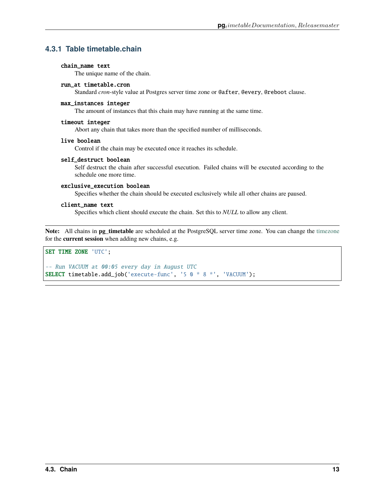### **4.3.1 Table timetable.chain**

#### chain\_name text

The unique name of the chain.

#### run\_at timetable.cron

Standard *cron*-style value at Postgres server time zone or @after, @every, @reboot clause.

#### max\_instances integer

The amount of instances that this chain may have running at the same time.

#### timeout integer

Abort any chain that takes more than the specified number of milliseconds.

#### live boolean

Control if the chain may be executed once it reaches its schedule.

#### self\_destruct boolean

Self destruct the chain after successful execution. Failed chains will be executed according to the schedule one more time.

#### exclusive\_execution boolean

Specifies whether the chain should be executed exclusively while all other chains are paused.

#### client\_name text

Specifies which client should execute the chain. Set this to *NULL* to allow any client.

**Note:** All chains in **pg\_timetable** are scheduled at the PostgreSQL server time zone. You can change the [timezone](https://www.postgresql.org/docs/current/datatype-datetime.html#DATATYPE-TIMEZONES) for the **current session** when adding new chains, e.g.

#### SET TIME ZONE 'UTC';

-- Run VACUUM at 00:05 every day in August UTC SELECT timetable.add\_job('execute-func', '5 0 \* 8 \*', 'VACUUM');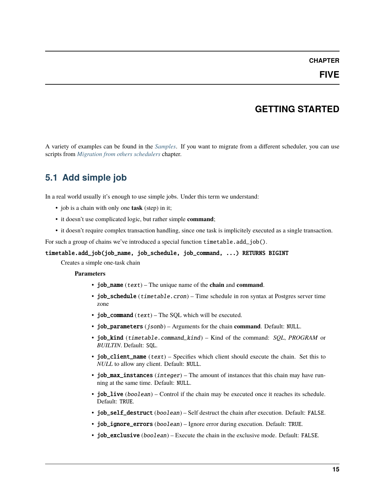## **GETTING STARTED**

<span id="page-18-0"></span>A variety of examples can be found in the *[Samples](#page-20-0)*. If you want to migrate from a different scheduler, you can use scripts from *[Migration from others schedulers](#page-26-0)* chapter.

## <span id="page-18-1"></span>**5.1 Add simple job**

In a real world usually it's enough to use simple jobs. Under this term we understand:

- job is a chain with only one **task** (step) in it;
- it doesn't use complicated logic, but rather simple **command**;
- it doesn't require complex transaction handling, since one task is implicitely executed as a single transaction.

For such a group of chains we've introduced a special function timetable.add\_job().

#### timetable.add\_job(job\_name, job\_schedule, job\_command, ...) RETURNS BIGINT

Creates a simple one-task chain

**Parameters**

- job\_name (text) The unique name of the **chain** and **command**.
- job\_schedule (timetable.cron) Time schedule in ron syntax at Postgres server time zone
- job\_command  $(text)$  The SQL which will be executed.
- job\_parameters (jsonb) Arguments for the chain **command**. Default: NULL.
- job\_kind (timetable.command\_kind) Kind of the command: *SQL*, *PROGRAM* or *BUILTIN*. Default: SQL.
- job\_client\_name  $(text)$  Specifies which client should execute the chain. Set this to *NULL* to allow any client. Default: NULL.
- job\_max\_instances  $(integer)$  The amount of instances that this chain may have running at the same time. Default: NULL.
- job\_live (boolean) Control if the chain may be executed once it reaches its schedule. Default: TRUE.
- job\_self\_destruct (boolean) Self destruct the chain after execution. Default: FALSE.
- job\_ignore\_errors (boolean) Ignore error during execution. Default: TRUE.
- job\_exclusive (boolean) Execute the chain in the exclusive mode. Default: FALSE.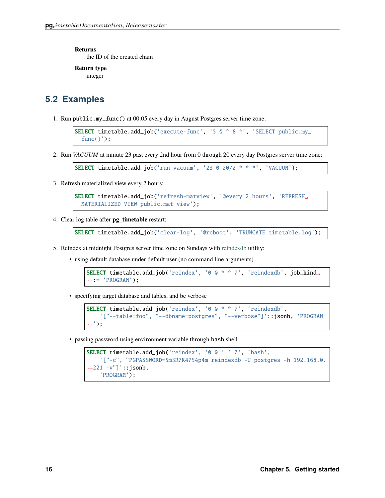**Returns**

the ID of the created chain

**Return type** integer

## <span id="page-19-0"></span>**5.2 Examples**

1. Run public.my\_func() at 00:05 every day in August Postgres server time zone:

```
SELECT timetable.add_job('execute-func', '5 0 * 8 *', 'SELECT public.my_
\rightarrowfunc()');
```
2. Run *VACUUM* at minute 23 past every 2nd hour from 0 through 20 every day Postgres server time zone:

```
SELECT timetable.add_job('run-vacuum', '23 0-20/2 * * *', 'VACUUM');
```
3. Refresh materialized view every 2 hours:

```
SELECT timetable.add_job('refresh-matview', '@every 2 hours', 'REFRESH␣
˓→MATERIALIZED VIEW public.mat_view');
```
4. Clear log table after **pg\_timetable** restart:

```
SELECT timetable.add_job('clear-log', '@reboot', 'TRUNCATE timetable.log');
```
- 5. Reindex at midnight Postgres server time zone on Sundays with [reindexdb](https://www.postgresql.org/docs/current/app-reindexdb.html) utility:
	- using default database under default user (no command line arguments)

```
SELECT timetable.add_job('reindex', '0 0 * * 7', 'reindexdb', job_kind␣
\rightarrow: = 'PROGRAM');
```
• specifying target database and tables, and be verbose

```
SELECT timetable.add_job('reindex', '0 0 * * 7', 'reindexdb',
    '["--table=foo", "--dbname=postgres", "--verbose"]'::jsonb, 'PROGRAM
˓→');
```
• passing password using environment variable through bash shell

```
SELECT timetable.add_job('reindex', '0 0 * * 7', 'bash',
    '["-c", "PGPASSWORD=5m3R7K4754p4m reindexdb -U postgres -h 192.168.0.
˓→221 -v"]'::jsonb,
    'PROGRAM');
```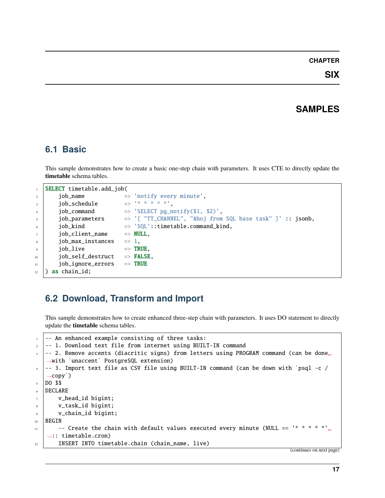## **SAMPLES**

### <span id="page-20-1"></span><span id="page-20-0"></span>**6.1 Basic**

This sample demonstrates how to create a basic one-step chain with parameters. It uses CTE to directly update the **timetable** schema tables.

|                  | SELECT timetable.add_job( |                                                            |
|------------------|---------------------------|------------------------------------------------------------|
| $\overline{2}$   | job_name                  | $\Rightarrow$ 'notify every minute',                       |
| $\overline{3}$   | job_schedule              |                                                            |
| 4                | job_command               | $\Rightarrow$ 'SELECT pg_notify(\$1, \$2)',                |
| $\overline{5}$   | job_parameters            | => '[ "TT_CHANNEL", "Ahoj from SQL base task" ]' :: jsonb, |
| 6                | iob_kind                  | $\Rightarrow$ 'SQL'::timetable.command_kind.               |
| $\overline{7}$   | iob_client_name           | $\Rightarrow$ NULL.                                        |
| $8\phantom{.}$   | job_max_instances         | $\Rightarrow$ 1.                                           |
| $\overline{9}$   | iob_live                  | $\Rightarrow$ TRUE.                                        |
| 10               | job_self_destruct         | $\Rightarrow$ FALSE.                                       |
| 11               | job_ignore_errors         | $\Rightarrow$ TRUE                                         |
| 12 <sup>12</sup> | as chain_id;              |                                                            |

## <span id="page-20-2"></span>**6.2 Download, Transform and Import**

This sample demonstrates how to create enhanced three-step chain with parameters. It uses DO statement to directly update the **timetable** schema tables.

```
1 -- An enhanced example consisting of three tasks:
2 -- 1. Download text file from internet using BUILT-IN command
3 -- 2. Remove accents (diacritic signs) from letters using PROGRAM command (can be done<sub>w</sub>
   ˓→with `unaccent` PostgreSQL extension)
4 -- 3. Import text file as CSV file using BUILT-IN command (can be down with `psql -c /
   \rightarrowcopy`)
5 DO $$
6 DECLARE
7 v_head_id bigint;
\vert v_task_id bigint;
9 v_chain_id bigint;
10 | BEGIN
11 -- Create the chain with default values executed every minute (NULL == '* * * * *'..
   ˓→:: timetable.cron)
12 | INSERT INTO timetable.chain (chain_name, live)
```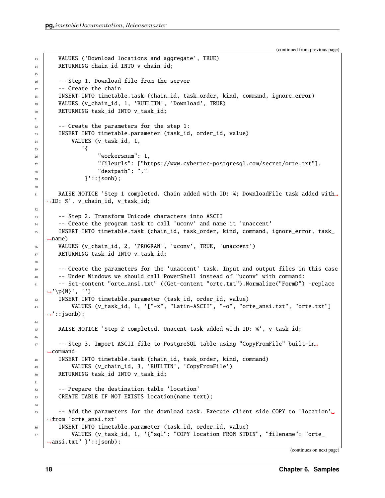15

21

30

32

38

44

46

51

54

```
(continued from previous page)
```

```
13 VALUES ('Download locations and aggregate', TRUE)
14 RETURNING chain_id INTO v_chain_id;
16 -- Step 1. Download file from the server
17 - Create the chain
18 | INSERT INTO timetable.task (chain_id, task_order, kind, command, ignore_error)
19 VALUES (v_chain_id, 1, 'BUILTIN', 'Download', TRUE)
20 RETURNING task_id INTO v_task_id;
_{22} | - -- Create the parameters for the step 1:
23 INSERT INTO timetable.parameter (task_id, order_id, value)
_{24} VALUES (v_task_id, 1,
25 \qquad \qquad\frac{26}{26} "workersnum": 1,
27 "fileurls": ["https://www.cybertec-postgresql.com/secret/orte.txt"],
\frac{28}{28} \frac{1}{28} \frac{1}{28} \frac{1}{28} \frac{1}{28} \frac{1}{28} \frac{1}{28} \frac{1}{28} \frac{1}{28} \frac{1}{28} \frac{1}{28} \frac{1}{28} \frac{1}{28} \frac{1}{28} \frac{1}{28} \frac{1}{28} \frac{1}{28} \frac{1}{28} \frac{1}{28} \frac{1}{28} 
29 \mid }'::jsonb);
31 RAISE NOTICE 'Step 1 completed. Chain added with ID: %; DownloadFile task added with␣
    ˓→ID: %', v_chain_id, v_task_id;
33 -- Step 2. Transform Unicode characters into ASCII
34 -- Create the program task to call 'uconv' and name it 'unaccent'
35 INSERT INTO timetable.task (chain_id, task_order, kind, command, ignore_error, task_
    ˓→name)
36 VALUES (v_chain_id, 2, 'PROGRAM', 'uconv', TRUE, 'unaccent')
37 RETURNING task_id INTO v_task_id;
<sup>39</sup> -- Create the parameters for the 'unaccent' task. Input and output files in this case
40 -- Under Windows we should call PowerShell instead of "uconv" with command:
41 -- Set-content "orte_ansi.txt" ((Get-content "orte.txt").Normalize("FormD") -replace
    ˓→'\p{M}', '')
\frac{42}{42} INSERT INTO timetable.parameter (task_id, order_id, value)
43 VALUES (v_task_id, 1, '["-x", "Latin-ASCII", "-o", "orte_ansi.txt", "orte.txt"]
   ightharpoonup:: jsonb);
45 RAISE NOTICE 'Step 2 completed. Unacent task added with ID: %', v_task_id;
47 -- Step 3. Import ASCII file to PostgreSQL table using "CopyFromFile" built-in
    ˓→command
48 INSERT INTO timetable.task (chain_id, task_order, kind, command)
49 VALUES (v_chain_id, 3, 'BUILTIN', 'CopyFromFile')
50 RETURNING task_id INTO v_task_id;
52 \vert -- Prepare the destination table 'location'
53 CREATE TABLE IF NOT EXISTS location(name text);
55 -- Add the parameters for the download task. Execute client side COPY to 'location'<sub></sub>
    ˓→from 'orte_ansi.txt'
56 INSERT INTO timetable.parameter (task_id, order_id, value)
57 VALUES (v_task_id, 1, '{"sql": "COPY location FROM STDIN", "filename": "orte_
    ˓→ansi.txt" }'::jsonb);
```

```
(continues on next page)
```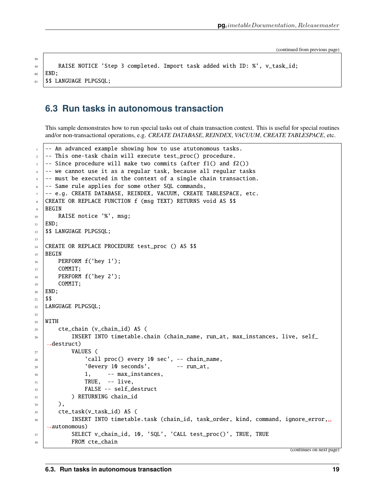```
58
```

```
59 RAISE NOTICE 'Step 3 completed. Import task added with ID: %', v_task_id;
60 END;
61 | $$ LANGUAGE PLPGSQL;
```
### <span id="page-22-0"></span>**6.3 Run tasks in autonomous transaction**

This sample demonstrates how to run special tasks out of chain transaction context. This is useful for special routines and/or non-transactional operations, e.g. *CREATE DATABASE*, *REINDEX*, *VACUUM*, *CREATE TABLESPACE*, etc.

```
-- An advanced example showing how to use atutonomous tasks.
2 -- This one-task chain will execute test_proc() procedure.
   - Since procedure will make two commits (after f1() and f2())
4 -- we cannot use it as a regular task, because all regular tasks
s -- must be executed in the context of a single chain transaction.
6 -- Same rule applies for some other SQL commands,
7 -- e.g. CREATE DATABASE, REINDEX, VACUUM, CREATE TABLESPACE, etc.
8 CREATE OR REPLACE FUNCTION f (msg TEXT) RETURNS void AS $$
9 BEGIN
10 RAISE notice '%', msg;
11 END;
12 | $$ LANGUAGE PLPGSQL;
13
14 CREATE OR REPLACE PROCEDURE test_proc () AS $$
15 BEGIN
16 PERFORM f('hey 1');
17 COMMIT;
18 PERFORM f('hey 2');
19 COMMIT;
20 END;
21 $$
22 | LANGUAGE PLPGSQL;
23
_{24} WITH
25 cte_chain (v_chain_id) AS (
_{26} INSERT INTO timetable.chain (chain_name, run_at, max_instances, live, self_
   ˓→destruct)
27 VALUES (
\frac{28}{28} 'call proc() every 10 sec', -- chain_name,
29 '@every 10 seconds', - run_at,
\begin{array}{ccc} \text{30} & 1, & - \end{array} max_instances,
\overline{\text{31}} TRUE, \overline{\text{11}} TRUE, \overline{\text{22}}<sup>32</sup> FALSE -- self_destruct
33 ) RETURNING chain_id
34 ),
35 cte_task(v_task_id) AS (
           INSERT INTO timetable.task (chain_id, task_order, kind, command, ignore_error,.
   ˓→autonomous)
37 SELECT v_chain_id, 10, 'SQL', 'CALL test_proc()', TRUE, TRUE
38 FROM cte_chain
```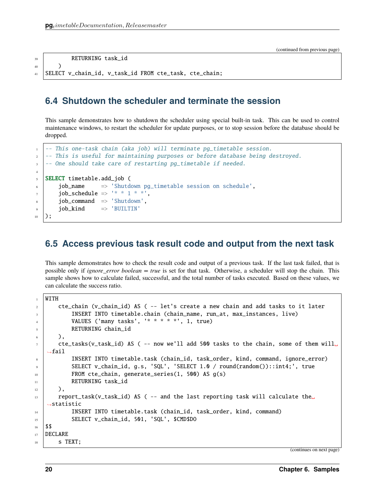```
39 RETURNING task_id
40 )
```
<sup>41</sup> SELECT v\_chain\_id, v\_task\_id FROM cte\_task, cte\_chain;

### <span id="page-23-0"></span>**6.4 Shutdown the scheduler and terminate the session**

This sample demonstrates how to shutdown the scheduler using special built-in task. This can be used to control maintenance windows, to restart the scheduler for update purposes, or to stop session before the database should be dropped.

```
-- This one-task chain (aka job) will terminate pg_timetable session.
2 -- This is useful for maintaining purposes or before database being destroyed.
      -- One should take care of restarting pg_timetable if needed.
4
5 SELECT timetable.add_job (
\begin{array}{c|c} \hline \text{for} \quad \text{in} \quad \text{is} \quad \text{in} \quad \text{is} \quad \text{is} \quad \text{is} \quad \text{is} \quad \text{is} \quad \text{is} \quad \text{is} \quad \text{is} \quad \text{is} \quad \text{is} \quad \text{is} \quad \text{is} \quad \text{is} \quad \text{is} \quad \text{is} \quad \text{is} \quad \text{is} \quad \text{is} \quad \text{is} \quad \text{is} \quad \text{is} \quad \text{is} \quad \text{is} \quad \text{is} \quad \text{is} \quad \text{is}7 job_schedule => '* * 1 * *',
\vert job_command \vert > 'Shutdown',
9 job_kind => 'BUILTIN'
_{10} );
```
### <span id="page-23-1"></span>**6.5 Access previous task result code and output from the next task**

This sample demonstrates how to check the result code and output of a previous task. If the last task failed, that is possible only if *ignore* error boolean = true is set for that task. Otherwise, a scheduler will stop the chain. This sample shows how to calculate failed, successful, and the total number of tasks executed. Based on these values, we can calculate the success ratio.

```
1 WITH
2 cte_chain (v_chain_id) AS ( -- let's create a new chain and add tasks to it later
3 INSERT INTO timetable.chain (chain_name, run_at, max_instances, live)
4 VALUES ('many tasks', '* * * * *', 1, true)
5 RETURNING chain_id
6 \mid ),
7 cte_tasks(v_task_id) AS ( -- now we'll add 500 tasks to the chain, some of them will.
   \rightarrowfail
8 INSERT INTO timetable.task (chain_id, task_order, kind, command, ignore_error)
9 SELECT v_chain_id, g.s, 'SQL', 'SELECT 1.0 / round(random())::int4;', true
10 FROM cte_chain, generate_series(1, 500) AS g(s)
11 RETURNING task_id
12 \quad | \quad \quad \quad \text{)}13 report_task(v_task_id) AS ( -- and the last reporting task will calculate the
   ˓→statistic
14 INSERT INTO timetable.task (chain_id, task_order, kind, command)
15 SELECT v_chain_id, 501, 'SQL', $CMD$DO
16 $$
17 | DECLARE
18 S TEXT;
```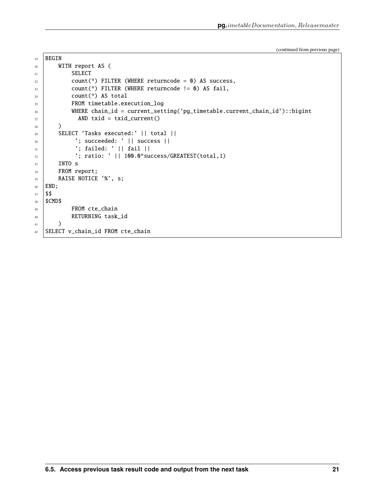```
19 BEGIN
20 WITH report AS (
21 SELECT
22 count(*) FILTER (WHERE returncode = 0) AS success,
23 \vert count(*) FILTER (WHERE returncode != 0) AS fail,
24 count(*) AS total
25 FROM timetable.execution_log
26 WHERE chain_id = current_setting('pg_timetable.current_chain_id')::bigint
27 AND txid = txid_current()
28 )
29 SELECT 'Tasks executed:' || total ||
30 '; succeeded: ' || success ||
_3<sub>31</sub> \vert '; failed: ' || fail ||
\begin{array}{|l|} \hline \end{array} : ratio: ' || 100.0*success/GREATEST(total,1)
33 INTO s
34 FROM report;
35 RAISE NOTICE '%', s;
36 END;
37 $$
38 $CMD$
<sup>39</sup> FROM cte_chain
40 RETURNING task_id
41 )
42 SELECT v_chain_id FROM cte_chain
```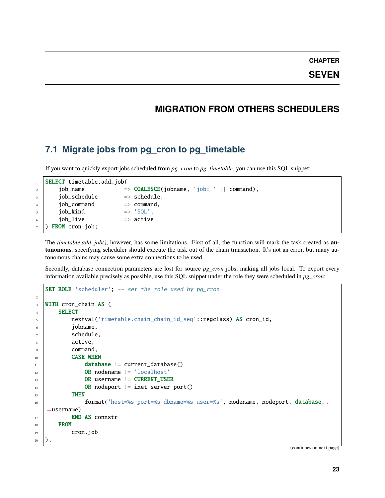**SEVEN**

### **MIGRATION FROM OTHERS SCHEDULERS**

### <span id="page-26-1"></span><span id="page-26-0"></span>**7.1 Migrate jobs from pg\_cron to pg\_timetable**

If you want to quickly export jobs scheduled from *pg\_cron* to *pg\_timetable*, you can use this SQL snippet:

|                          | SELECT timetable.add_job( |                                                      |  |  |
|--------------------------|---------------------------|------------------------------------------------------|--|--|
| $\overline{a}$           | job_name                  | $\Rightarrow$ COALESCE(jobname, 'job: '    command), |  |  |
| $\overline{\mathbf{3}}$  | job_schedule              | $\Rightarrow$ schedule.                              |  |  |
| $\overline{4}$           | job_command               | $\Rightarrow$ command.                               |  |  |
| $\overline{\phantom{0}}$ | job_kind                  | $\Rightarrow$ 'SQL'.                                 |  |  |
| 6                        | iob_live                  | $\Rightarrow$ active                                 |  |  |
|                          | FROM cron.job;            |                                                      |  |  |

The *timetable.add\_job()*, however, has some limitations. First of all, the function will mark the task created as **autonomous**, specifying scheduler should execute the task out of the chain transaction. It's not an error, but many autonomous chains may cause some extra connections to be used.

Secondly, database connection parameters are lost for source *pg\_cron* jobs, making all jobs local. To export every information available precisely as possible, use this SQL snippet under the role they were scheduled in *pg\_cron*:

```
1 SET ROLE 'scheduler'; -- set the role used by pg_cron
2
3 WITH cron_chain AS (
4 SELECT
5 nextval('timetable.chain_chain_id_seq'::regclass) AS cron_id,
6 jobname,
7 schedule,
\overline{\phantom{a}} active,
9 command,
10 CASE WHEN
\text{11} database != current_database()
12 OR nodename != 'localhost'
13 OR username != CURRENT_USER
14 OR nodeport != inet_server_port()
15 THEN
16 format('host=%s port=%s dbname=%s user=%s', nodename, nodeport, database,␣
   ˓→username)
17 END AS connstr
18 FROM
19 cron.job
_{20} ),
```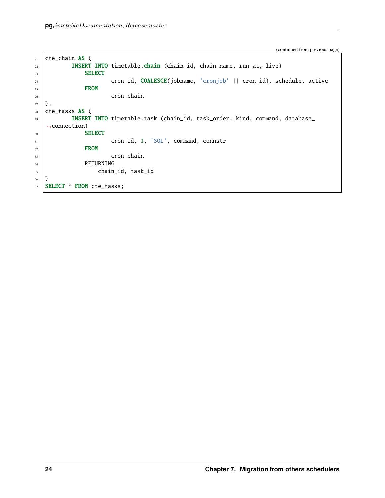```
_{21} cte_chain AS (
22 INSERT INTO timetable.chain (chain_id, chain_name, run_at, live)
23 SELECT
24 cron_id, COALESCE(jobname, 'cronjob' || cron_id), schedule, active
25 FROM
<sup>26</sup> cron_chain
27 ),
28 cte_tasks AS (
29 INSERT INTO timetable.task (chain_id, task_order, kind, command, database_
   \rightarrowconnection)
30 SELECT
31 cron_id, 1, 'SQL', command, connstr
32 FROM
<sup>33</sup> cron_chain
34 RETURNING
35 chain_id, task_id
36 )
37 SELECT * FROM cte_tasks;
```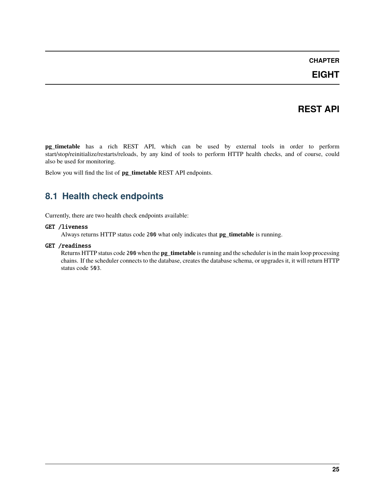**EIGHT**

### **REST API**

<span id="page-28-0"></span>**pg\_timetable** has a rich REST API, which can be used by external tools in order to perform start/stop/reinitialize/restarts/reloads, by any kind of tools to perform HTTP health checks, and of course, could also be used for monitoring.

Below you will find the list of **pg\_timetable** REST API endpoints.

### <span id="page-28-1"></span>**8.1 Health check endpoints**

Currently, there are two health check endpoints available:

#### GET /liveness

Always returns HTTP status code 200 what only indicates that **pg\_timetable** is running.

#### GET /readiness

Returns HTTP status code 200 when the **pg\_timetable** is running and the scheduler is in the main loop processing chains. If the scheduler connects to the database, creates the database schema, or upgrades it, it will return HTTP status code 503.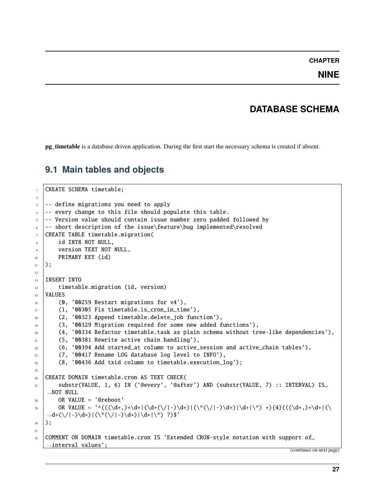### **NINE**

## **DATABASE SCHEMA**

<span id="page-30-0"></span>**pg\_timetable** is a database driven application. During the first start the necessary schema is created if absent.

## <span id="page-30-1"></span>**9.1 Main tables and objects**

```
1 CREATE SCHEMA timetable;
2
3 -- define migrations you need to apply
4 -- every change to this file should populate this table.
s -- Version value should contain issue number zero padded followed by
6 -- short description of the issue\feature\bug implemented\resolved
   CREATE TABLE timetable.migration(
8 id INT8 NOT NULL,
9 version TEXT NOT NULL,
10 PRIMARY KEY (id)
11);
12
13 | INSERT INTO
14 timetable.migration (id, version)
15 VALUES
16 (0, '00259 Restart migrations for v4'),
17 (1, '00305 Fix timetable.is_cron_in_time'),
18 (2, '00323 Append timetable.delete_job function'),
19 (3, '00329 Migration required for some new added functions'),
_{20} (4, '00334 Refactor timetable.task as plain schema without tree-like dependencies'),
_{21} (5, '00381 Rewrite active chain handling'),
\overline{22} (6, '00394 Add started_at column to active_session and active_chain tables'),
_{23} (7, '00417 Rename LOG database log level to INFO'),
_{24} (8, '00436 Add txid column to timetable.execution_log');
25
_{26} CREATE DOMAIN timetable.cron AS TEXT CHECK(
_{27} substr(VALUE, 1, 6) IN ('@every', '@after') AND (substr(VALUE, 7) :: INTERVAL) IS.
   ˓→NOT NULL
_{28} OR VALUE = '@reboot'
29 OR VALUE ~ '^(((\d+,)+\d+|(\d+(\/|-)\d+)|(\*(\/|-)\d+)|\d+|\*) +){4}(((\d+,)+\d+|(\
   \rightarrowd+(\/|-)\d+)|(\*(\/|-)\d+)|\d+|\*) ?)$'
30 \mid);
31
32 COMMENT ON DOMAIN timetable.cron IS 'Extended CRON-style notation with support of.
   ˓→interval values';
```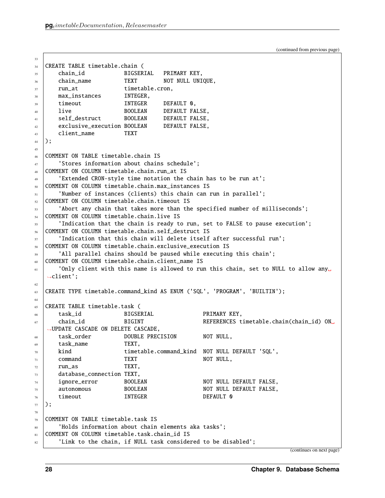```
33
34 CREATE TABLE timetable.chain (
35 chain_id BIGSERIAL PRIMARY KEY,
36 chain_name TEXT NOT NULL UNIQUE,
37 \mid \text{run\_at} timetable.cron,
38 max_instances INTEGER,
39 timeout INTEGER DEFAULT 0.
40 live BOOLEAN DEFAULT FALSE,
41 Self_destruct BOOLEAN DEFAULT FALSE,
42 exclusive_execution BOOLEAN DEFAULT FALSE,
43 client name TEXT
44 );
45
46 COMMENT ON TABLE timetable.chain IS
47 | 'Stores information about chains schedule';
48 COMMENT ON COLUMN timetable.chain.run_at IS
49 'Extended CRON-style time notation the chain has to be run at';
50 COMMENT ON COLUMN timetable.chain.max_instances IS
\mathbf{S1} 'Number of instances (clients) this chain can run in parallel';
52 COMMENT ON COLUMN timetable.chain.timeout IS
53 'Abort any chain that takes more than the specified number of milliseconds';
54 COMMENT ON COLUMN timetable.chain.live IS
55 'Indication that the chain is ready to run, set to FALSE to pause execution';
56 COMMENT ON COLUMN timetable.chain.self_destruct IS
\sigma_{57} | \, 'Indication that this chain will delete itself after successful run';
58 COMMENT ON COLUMN timetable.chain.exclusive_execution IS
59 \parallel \parallel \parallel and \parallel and \parallel and \parallel and \parallel and \parallel and \parallel and \parallel and \parallel and \parallel and \parallel and \parallel and \parallel and \parallel and \parallel and \parallel and \parallel and \parallel and \parallel and \parallel and \parallel and \parallel and \parallel and
60 COMMENT ON COLUMN timetable.chain.client_name IS
61 'Only client with this name is allowed to run this chain, set to NULL to allow any
   ˓→client';
62
63 CREATE TYPE timetable.command_kind AS ENUM ('SQL', 'PROGRAM', 'BUILTIN');
64
65 CREATE TABLE timetable.task (
66 task_id BIGSERIAL PRIMARY KEY,
\sigma chain_id BIGINT REFERENCES timetable.chain(chain_id) ON_{\text{d}}˓→UPDATE CASCADE ON DELETE CASCADE,
68 task_order DOUBLE PRECISION NOT NULL,
69 task_name TEXT,
\overline{70} kind timetable.command_kind NOT NULL DEFAULT 'SQL',
71 command TEXT NOT NULL,
72 \quad \text{run}\_as TEXT,
73 database_connection TEXT,
\frac{74}{14} ignore_error BOOLEAN NOT NULL DEFAULT FALSE,
\overline{75} autonomous BOOLEAN NOT NULL DEFAULT FALSE.
\frac{76}{10} timeout INTEGER DEFAULT 0
77 );
78
79 COMMENT ON TABLE timetable.task IS
80 'Holds information about chain elements aka tasks';
81 COMMENT ON COLUMN timetable.task.chain_id IS
\overline{\mathcal{S}} 'Link to the chain, if NULL task considered to be disabled';
```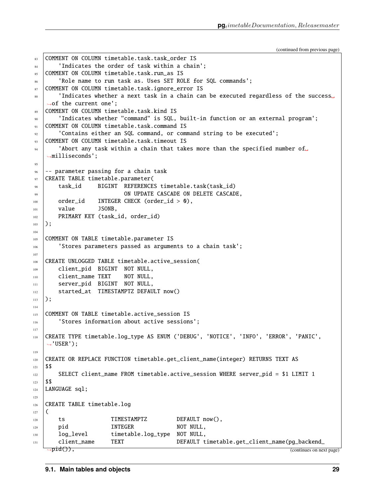```
(continued from previous page)
```

```
83 COMMENT ON COLUMN timetable.task.task order IS
84 'Indicates the order of task within a chain';
85 COMMENT ON COLUMN timetable.task.run_as IS
86 'Role name to run task as. Uses SET ROLE for SQL commands';
87 COMMENT ON COLUMN timetable.task.ignore_error IS
88 'Indicates whether a next task in a chain can be executed regardless of the success␣
   ˓→of the current one';
89 COMMENT ON COLUMN timetable.task.kind IS
90 'Indicates whether "command" is SQL, built-in function or an external program';
91 COMMENT ON COLUMN timetable.task.command IS
92 'Contains either an SQL command, or command string to be executed';
93 COMMENT ON COLUMN timetable.task.timeout IS
94 'Abort any task within a chain that takes more than the specified number of \Box˓→milliseconds';
95
96 -- parameter passing for a chain task
97 CREATE TABLE timetable.parameter(
98 task_id BIGINT REFERENCES timetable.task(task_id)
99 ON UPDATE CASCADE ON DELETE CASCADE,
100 order_id INTEGER CHECK (order_id > 0),
101 value JSONB,
102 PRIMARY KEY (task_id, order_id)
_{103} );
104
105 COMMENT ON TABLE timetable.parameter IS
_{106} \qquad 'Stores parameters passed as arguments to a chain task';
107
108 CREATE UNLOGGED TABLE timetable.active_session(
109 client_pid BIGINT NOT NULL,
110 client_name TEXT NOT NULL,
111 | server_pid BIGINT NOT NULL,
112 started_at TIMESTAMPTZ DEFAULT now()
113 \mid );114
115 COMMENT ON TABLE timetable.active session IS
116 | 'Stores information about active sessions';
117
118 CREATE TYPE timetable.log_type AS ENUM ('DEBUG', 'NOTICE', 'INFO', 'ERROR', 'PANIC',
   ightharpoonup USER');
119
120 CREATE OR REPLACE FUNCTION timetable.get_client_name(integer) RETURNS TEXT AS
121 $$
122 SELECT client_name FROM timetable.active_session WHERE server_pid = $1 LIMIT 1
123 $$
124 LANGUAGE sql;
125
126 CREATE TABLE timetable.log
127 \mid \mathsf{C}128 ts TIMESTAMPTZ DEFAULT now(),
129 pid INTEGER NOT NULL.
130 | log_level timetable.log_type NOT NULL,
131 client_name TEXT DEFAULT timetable.get_client_name(pg_backend_
    \rightarrowpid()), (continues on next page)
```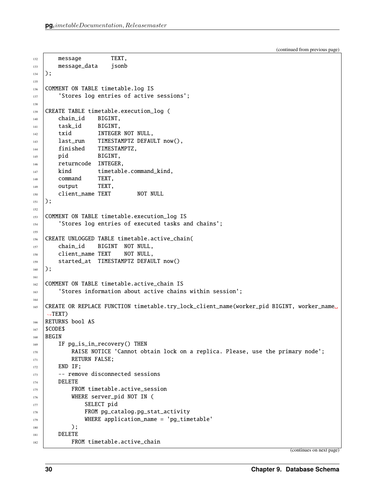```
132 message TEXT,
133 message_data jsonb
134 );
135
136 COMMENT ON TABLE timetable.log IS
137 Stores log entries of active sessions';
138
139 CREATE TABLE timetable.execution_log (
140 chain_id BIGINT,
141 task_id BIGINT.
142 txid INTEGER NOT NULL,
143 last_run TIMESTAMPTZ DEFAULT now(),
144 | finished TIMESTAMPTZ,
145 pid BIGINT,
146 returncode INTEGER,
147 kind timetable.command_kind,
148 command TEXT,
149 output TEXT,
150 client_name TEXT NOT NULL
151 \mid );152
153 COMMENT ON TABLE timetable.execution_log IS
154 | 'Stores log entries of executed tasks and chains';
155
156 CREATE UNLOGGED TABLE timetable.active_chain(
157 chain_id BIGINT NOT NULL,
158 client_name TEXT NOT NULL,
159 started_at TIMESTAMPTZ DEFAULT now()
_{160} );
161
162 COMMENT ON TABLE timetable.active_chain IS
163 | Stores information about active chains within session';
164
165 CREATE OR REPLACE FUNCTION timetable.try_lock_client_name(worker_pid BIGINT, worker_name␣
   \rightarrowTEXT)
166 RETURNS bool AS
167 | $CODE$
168 | BEGIN
169 IF pg_is_in_recovery() THEN
_{170} \qquad RAISE NOTICE 'Cannot obtain lock on a replica. Please, use the primary node';
171 RETURN FALSE;
172 END IF;
173 - remove disconnected sessions
174 DELETE
175 FROM timetable.active session
176 | WHERE server_pid NOT IN (
177 SELECT pid
178 | FROM pg_catalog.pg_stat_activity
179 WHERE application_name = 'pg_timetable'
180 \quad | \quad \Box181 DELETE
182 FROM timetable.active_chain
```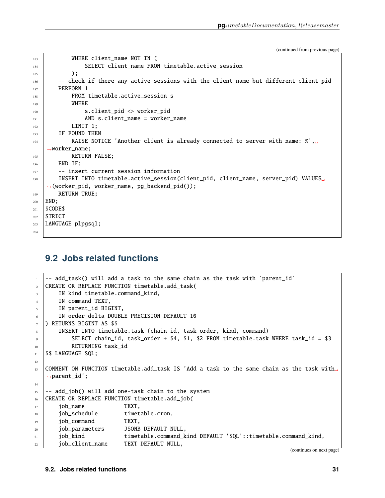```
183 WHERE client_name NOT IN (
184 SELECT client_name FROM timetable.active_session
185 );
186 - - check if there any active sessions with the client name but different client pid
187 PERFORM 1
188 FROM timetable.active_session s
189 WHERE
190 s.client_pid <> worker_pid
191 AND s.client_name = worker_name
192 LIMIT 1:
193 IF FOUND THEN
194 RAISE NOTICE 'Another client is already connected to server with name: %',\Box˓→worker_name;
195 RETURN FALSE;
196 END IF;
_{197} | -- insert current session information
198 INSERT INTO timetable.active_session(client_pid, client_name, server_pid) VALUES␣
   ˓→(worker_pid, worker_name, pg_backend_pid());
199 RETURN TRUE;
200 END;
201 $CODE$
202 STRICT
203 LANGUAGE plpgsql;
204
```
### <span id="page-34-0"></span>**9.2 Jobs related functions**

```
- add_task() will add a task to the same chain as the task with `parent_id`
2 CREATE OR REPLACE FUNCTION timetable.add_task(
      IN kind timetable.command_kind,
4 IN command TEXT,
5 IN parent_id BIGINT,
6 IN order delta DOUBLE PRECISION DEFAULT 10
_7 ) RETURNS BIGINT AS $$
      INSERT INTO timetable.task (chain_id, task_order, kind, command)
9 SELECT chain_id, task_order + $4, $1, $2 FROM timetable.task WHERE task_id = $3
10 RETURNING task_id
11 | $$ LANGUAGE SQL;
12
13 COMMENT ON FUNCTION timetable.add_task IS 'Add a task to the same chain as the task with␣
   \rightarrowparent_id';
14
15 -- add_job() will add one-task chain to the system
16 CREATE OR REPLACE FUNCTION timetable.add_job(
17 job_name TEXT,
18 job_schedule timetable.cron,
19 job_command TEXT,
20 job_parameters JSONB DEFAULT NULL,
21 job_kind timetable.command_kind DEFAULT 'SQL'::timetable.command_kind,
22 job_client_name TEXT DEFAULT NULL,
```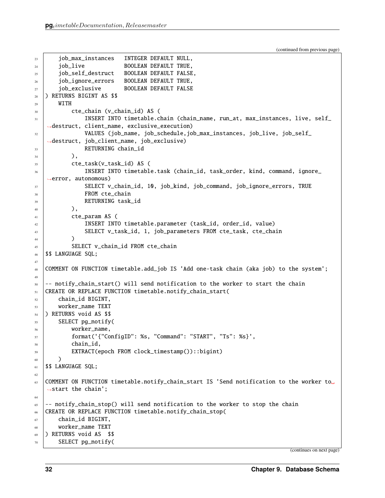```
23 job_max_instances INTEGER DEFAULT NULL,
24 job_live BOOLEAN DEFAULT TRUE,
25 job_self_destruct BOOLEAN DEFAULT FALSE,
26 job_ignore_errors BOOLEAN DEFAULT TRUE,
27 job_exclusive BOOLEAN DEFAULT FALSE
28 ) RETURNS BIGINT AS $$
_{29} WITH
30 cte_chain (v_chain_id) AS (
31 INSERT INTO timetable.chain (chain_name, run_at, max_instances, live, self_
   ˓→destruct, client_name, exclusive_execution)
32 VALUES (job_name, job_schedule,job_max_instances, job_live, job_self_
   ˓→destruct, job_client_name, job_exclusive)
33 RETURNING chain_id
34 ),
35 cte_task(v_task_id) AS (
36 INSERT INTO timetable.task (chain_id, task_order, kind, command, ignore_
   ˓→error, autonomous)
37 SELECT v_chain_id, 10, job_kind, job_command, job_ignore_errors, TRUE
<sup>38</sup> FROM cte_chain
39 RETURNING task_id
^{40} ),
41 cte_param AS (
42 INSERT INTO timetable.parameter (task_id, order_id, value)
43 SELECT v_task_id, 1, job_parameters FROM cte_task, cte_chain
44 )
45 SELECT v_chain_id FROM cte_chain
46 | $$ LANGUAGE SQL;
47
48 COMMENT ON FUNCTION timetable.add_job IS 'Add one-task chain (aka job) to the system';
49
50 -- notify_chain_start() will send notification to the worker to start the chain
51 CREATE OR REPLACE FUNCTION timetable.notify_chain_start(
_{52} chain id BIGINT.
53 worker_name TEXT
54 ) RETURNS void AS $$
55 SELECT pg_notify(
56 worker_name,
57 format('{"ConfigID": %s, "Command": "START", "Ts": %s}',
58 chain_id,
59 EXTRACT(epoch FROM clock_timestamp())::bigint)
60 )
61 | $$ LANGUAGE SQL;
62
63 COMMENT ON FUNCTION timetable.notify_chain_start IS 'Send notification to the worker to
   \rightarrowstart the chain';
64
    - notify_chain_stop() will send notification to the worker to stop the chain
66 CREATE OR REPLACE FUNCTION timetable.notify_chain_stop(
67 chain_id BIGINT,
68 Worker name TEXT
69 ) RETURNS void AS $$
70 SELECT pg_notify(
```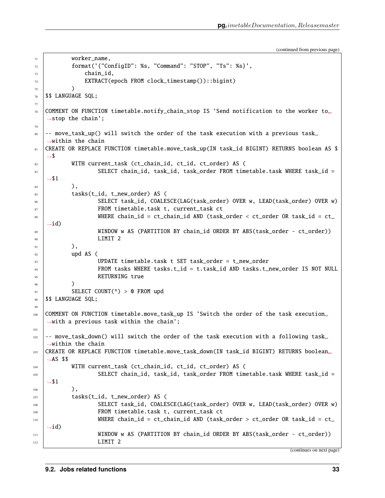```
(continued from previous page)
```

```
71 worker_name,
\begin{array}{ccc} \text{{\tt T}}_2 & \text{{\tt \end{array}} format('{"ConfigID": %s, "Command": "STOP", "Ts": %s}',
73 chain_id,
74 EXTRACT(epoch FROM clock_timestamp())::bigint)
75 )
76 | $$ LANGUAGE SQL;
77
78 COMMENT ON FUNCTION timetable.notify_chain_stop IS 'Send notification to the worker to.
   \rightarrowstop the chain';
79
80 -- move_task_up() will switch the order of the task execution with a previous task.
   →within the chain
81 | CREATE OR REPLACE FUNCTION timetable.move_task_up(IN task_id BIGINT) RETURNS boolean AS $
   ˓→$
82 WITH current_task (ct_chain_id, ct_id, ct_order) AS (
83 SELECT chain_id, task_id, task_order FROM timetable.task WHERE task_id =
   \rightarrow$1
84 ),
85 tasks(t_id, t_new_order) AS (
86 SELECT task_id, COALESCE(LAG(task_order) OVER w, LEAD(task_order) OVER w)
87 FROM timetable.task t, current_task ct
88 WHERE chain_id = ct_chain_id AND (task_order < ct_order OR task_id = ct_
   \rightarrowid)
89 WINDOW w AS (PARTITION BY chain_id ORDER BY ABS(task_order - ct_order))
90 LIMIT 2
91 ),
92 upd AS (
93 UPDATE timetable.task t SET task_order = t_new_order
94 FROM tasks WHERE tasks.t_id = t.task_id AND tasks.t_new_order IS NOT NULL
95 RETURNING true
96 )
97 SELECT COUNT(*) > 0 FROM upd
98 | $$ LANGUAGE SQL;
99
100 COMMENT ON FUNCTION timetable.move_task_up IS 'Switch the order of the task execution␣
   \rightarrowwith a previous task within the chain';
101
102 -- move_task_down() will switch the order of the task execution with a following task
   \rightarrowwithin the chain
103 CREATE OR REPLACE FUNCTION timetable.move_task_down(IN task_id BIGINT) RETURNS boolean␣
   \rightarrowAS $$
104 WITH current_task (ct_chain_id, ct_id, ct_order) AS (
105 SELECT chain_id, task_id, task_order FROM timetable.task WHERE task_id =
   \rightarrow$1
106 ),
107 tasks(t_id, t_new_order) AS (
                  108 SELECT task_id, COALESCE(LAG(task_order) OVER w, LEAD(task_order) OVER w)
109 FROM timetable.task t, current_task ct
110 WHERE chain_id = ct_chain_id AND (task_order > ct_order OR task_id = ct_
   \rightarrowid)
111 WINDOW w AS (PARTITION BY chain_id ORDER BY ABS(task_order - ct_order))
112 LIMIT 2
                                                                        (continues on next page)
```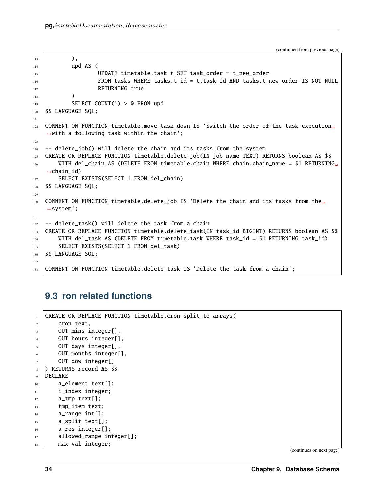```
113 ),
114 upd AS (
115 UPDATE timetable.task t SET task_order = t_new_order
116 FROM tasks WHERE tasks.t_id = t.task_id AND tasks.t_new_order IS NOT NULL
117 RETURNING true
118 )
119 SELECT COUNT(*) > 0 FROM upd
120 | $$ LANGUAGE SQL;
121
122 COMMENT ON FUNCTION timetable.move_task_down IS 'Switch the order of the task execution
    ˓→with a following task within the chain';
123
124 \vert -- delete_job() will delete the chain and its tasks from the system
125 CREATE OR REPLACE FUNCTION timetable.delete_job(IN job_name TEXT) RETURNS boolean AS $$
126 | WITH del_chain AS (DELETE FROM timetable.chain WHERE chain.chain_name = $1 RETURNING
    \rightarrowchain id)
127 | SELECT EXISTS(SELECT 1 FROM del_chain)
128 | $$ LANGUAGE SQL;
129
130 COMMENT ON FUNCTION timetable.delete_job IS 'Delete the chain and its tasks from the
    \rightarrowsystem';
131
132 \left[-\right] delete_task() will delete the task from a chain
133 CREATE OR REPLACE FUNCTION timetable.delete_task(IN task_id BIGINT) RETURNS boolean AS $$
134 WITH del_task AS (DELETE FROM timetable.task WHERE task_id = $1 RETURNING task_id)
135 SELECT EXISTS (SELECT 1 FROM del_task)
136 | $$ LANGUAGE SQL;
137
138 COMMENT ON FUNCTION timetable.delete_task IS 'Delete the task from a chain';
```
## <span id="page-37-0"></span>**9.3 ron related functions**

| $\mathbf{1}$   | CREATE OR REPLACE FUNCTION timetable.cron_split_to_arrays( |
|----------------|------------------------------------------------------------|
| $\overline{c}$ | cron text.                                                 |
| 3              | OUT mins integer[],                                        |
| $\overline{4}$ | OUT hours integer[],                                       |
| $\overline{5}$ | OUT days integer[],                                        |
| 6              | OUT months integer[],                                      |
| $\tau$         | OUT dow integer[]                                          |
| 8              | RETURNS record AS \$\$                                     |
| 9              | <b>DECLARE</b>                                             |
| 10             | $a$ _element text[];                                       |
| 11             | i_index integer;                                           |
| 12             | $a$ _tmp text[];                                           |
| 13             | tmp_item text;                                             |
| 14             | $a$ _range int $[]$ ;                                      |
| 15             | $a$ _split text[];                                         |
| 16             | a_res integer[];                                           |
| 17             | allowed_range integer[];                                   |
| 18             | max_val integer;                                           |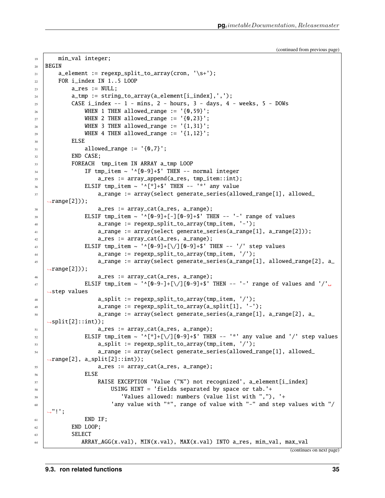```
(continued from previous page)
```

```
19 min_val integer;
20 BEGIN
21 a_element := regexp_split_to_array(cron, '\s+');
_{22} | FOR i_index IN 1..5 LOOP
23 a_res := NULL;
_{24} a_tmp := string_to_array(a_element[i_index],',');
\begin{array}{ccc} \text{25} & \text{CASE } i\_index & \text{- - 1 - mins, 2 - hours, 3 - days, 4 - weeks, 5 - DOWs.} \end{array}_{26} WHEN 1 THEN allowed_range := '{0,59}';
_{27} WHEN 2 THEN allowed_range := '{0,23}';
_{28} WHEN 3 THEN allowed_range := '{1,31}';
\begin{array}{ccc} \text{29} & \text{11} & \text{22} \end{array} WHEN 4 THEN allowed_range := '{1,12}';
30 ELSE
_{31} allowed_range := '_{0,7},
32 END CASE;
33 FOREACH tmp_item IN ARRAY a_tmp LOOP
34 IF tmp_item ~ '^[0-9]+$' THEN -- normal integer
\alpha<sub>35</sub> \alpha a_res := array_append(a_res, tmp_item::int);
\begin{array}{ccc} \text{36} & \end{array} ELSIF tmp_item ~ '^[*]+$' THEN -- '*' any value
\begin{array}{ccc} \texttt{37} & \texttt{38} \end{array} a_range := array(select generate_series(allowed_range[1], allowed_
    \rightarrowrange[2]));
38 \vert a_res := array_cat(a_res, a_range);
39 \vert ELSIF tmp_item ~ '^[0-9]+[-][0-9]+$' THEN -- '-' range of values
40 a_range := regexp_split_to_array(tmp_item, '-');
41 a_range := array(select generate_series(a_range[1], a_range[2]));
a_2 a_res := array_cat(a_res, a_range);
43 ELSIF tmp_item ~ '^[0-9]+[\/][0-9]+$' THEN -- '/' step values
44 a a<sup>range</sup> := regexp_split_to_array(tmp_item, '/');
\begin{array}{ccc} \texttt{45} & \texttt{46} \end{array} a_range := array(select generate_series(a_range[1], allowed_range[2], a_
   \rightarrowrange[2]));
46 a_{res} := array\_cat(a_{res}, a_{range});47 \parallel ELSIF tmp_item \sim '^[0-9-]+[\/][0-9]+$' THEN -- '-' range of values and '/'\Box˓→step values
48 a_split := regexp_split_to_array(tmp_item, '/');
\begin{array}{ccc} \hbox{$49$} & \hbox{ } \end{array} a_range := regexp_split_to_array(a_split[1], '-');
50 a_range := array(select generate_series(a_range[1], a_range[2], a_
   \rightarrowsplit[2]::int));
\mathsf{S1} a_res := array_cat(a_res, a_range);
52 ELSIF tmp_item ~ '^[*]+[\/][0-9]+$' THEN -- '*' any value and '/' step values
\begin{aligned} \mathbf{53} \quad | \quad \mathbf{a\_split} \text{ := } \texttt{regexp\_split\_to\_array}(\texttt{tmp\_item}, \; \texttt{'}') \text{ ; } \end{aligned}54 a_range := array(select generate_series(allowed_range[1], allowed_
    ˓→range[2], a_split[2]::int));
55 a_res := array_cat(a_res, a_range);
56 ELSE
57 RAISE EXCEPTION 'Value ("%") not recognized', a_element[i_index]
58 USING HINT = 'fields separated by space or tab.'+
59 'Values allowed: numbers (value list with ","), '+
\frac{1}{1000} \frac{1}{1000} 'any value with "*", range of value with "-" and step values with "/
    ightharpoonup"!';
61 END IF;
62 END LOOP:
63 SELECT
64 ARRAY_AGG(x.val), MIN(x.val), MAX(x.val) INTO a_res, min_val, max_val
```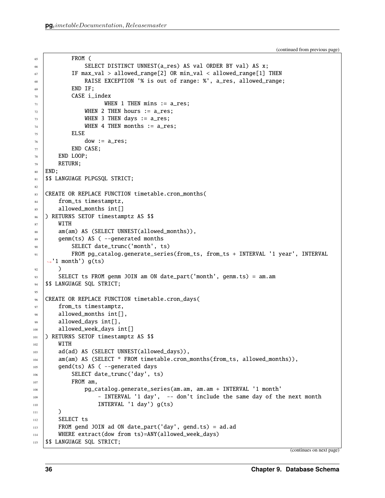```
65 FROM (
66 SELECT DISTINCT UNNEST(a_res) AS val ORDER BY val) AS x;
\sigma if max_val > allowed_range[2] OR min_val < allowed_range[1] THEN
68 RAISE EXCEPTION '% is out of range: %', a_res, allowed_range;
          END IF;
70 CASE i_index
71 WHEN 1 THEN mins := a_res;
72 WHEN 2 THEN hours := a_res;
73 WHEN 3 THEN days := a_res;
74 WHEN 4 THEN months := a_res;
75 ELSE
76 dow := a_{res};
77 END CASE;
78 END LOOP;
79 RETURN;
80 END:
81 | $$ LANGUAGE PLPGSQL STRICT;
82
83 CREATE OR REPLACE FUNCTION timetable.cron_months(
84 from_ts timestamptz,
85 allowed_months int[]
86 ) RETURNS SETOF timestamptz AS $$
87 WITH
88 am(am) AS (SELECT UNNEST(allowed_months)),
89 genm(ts) AS ( --generated months
90 SELECT date_trunc('month', ts)
91 FROM pg_catalog.generate_series(from_ts, from_ts + INTERVAL '1 year', INTERVAL
   \rightarrow'1 month') g(ts)
92 )
93 SELECT ts FROM genm JOIN am ON date_part('month', genm.ts) = am.am
94 | $$ LANGUAGE SQL STRICT;
95
96 CREATE OR REPLACE FUNCTION timetable.cron_days(
97 | from_ts timestamptz,
98 allowed_months int[],
99 allowed_days int[],
100 allowed_week_days int[]
101 ) RETURNS SETOF timestamptz AS $$
102 \quad WITH103 ad(ad) AS (SELECT UNNEST(allowed_days)),
104 am(am) AS (SELECT * FROM timetable.cron_months(from_ts, allowed_months)),
_{105} gend(ts) AS ( --generated days
106 SELECT date_trunc('day', ts)
_{107} FROM am,
108 pg_catalog.generate_series(am.am, am.am + INTERVAL '1 month'
109 - INTERVAL '1 day', -- don't include the same day of the next month
110 INTERVAL '1 day') g(ts)
\frac{1}{111} )
112 SELECT ts
113 FROM gend JOIN ad ON date_part('day', gend.ts) = ad.ad
114 WHERE extract(dow from ts)=ANY(allowed_week_days)
115 | $$ LANGUAGE SQL STRICT;
```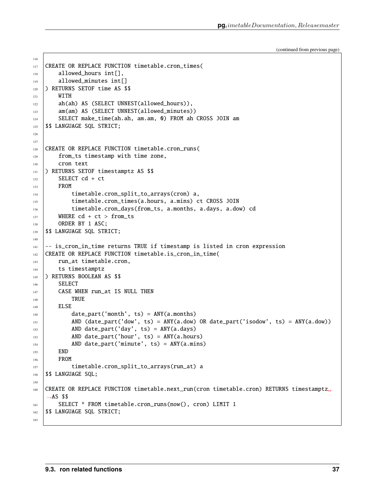```
(continued from previous page)
```

```
117 CREATE OR REPLACE FUNCTION timetable.cron_times(
118 allowed_hours int[],
119 allowed_minutes int[]
120 ) RETURNS SETOF time AS $$
121 WITH
122 ah(ah) AS (SELECT UNNEST(allowed_hours)),
123 am(am) AS (SELECT UNNEST(allowed_minutes))
124 SELECT make_time(ah.ah, am.am, 0) FROM ah CROSS JOIN am
125 $$ LANGUAGE SQL STRICT;
126
127
128 CREATE OR REPLACE FUNCTION timetable.cron_runs(
129 from_ts timestamp with time zone,
130 cron text
131 ) RETURNS SETOF timestamptz AS $$
132 SELECT cd + ct
_{133} FROM
134 timetable.cron_split_to_arrays(cron) a,
135 timetable.cron_times(a.hours, a.mins) ct CROSS JOIN
136 timetable.cron_days(from_ts, a.months, a.days, a.dow) cd
137 WHERE cd + ct > from_ts
138 ORDER BY 1 ASC;
139 $$ LANGUAGE SQL STRICT;
140
_{141} \vert -- is_cron_in_time returns TRUE if timestamp is listed in cron expression
142 CREATE OR REPLACE FUNCTION timetable.is_cron_in_time(
143 run_at timetable.cron,
144 ts timestamptz
145 ) RETURNS BOOLEAN AS $$
146 SELECT
147 CASE WHEN run_at IS NULL THEN
148 TRUE
149 | ELSE
_{150} date_part('month', ts) = ANY(a.months)
151 AND (date_part('dow', ts) = ANY(a.dow) OR date_part('isodow', ts) = ANY(a.dow))
152 AND date_part('day', ts) = ANY(a.days)
\text{153} AND date_part('hour', ts) = ANY(a.hours)
154 AND date_part('minute', ts) = ANY(a.mins)
_{155} END
156 FROM
157 | timetable.cron_split_to_arrays(run_at) a
158 | $$ LANGUAGE SQL;
159
160 CREATE OR REPLACE FUNCTION timetable.next_run(cron timetable.cron) RETURNS timestamptz␣
   \rightarrowAS $$
161 | SELECT * FROM timetable.cron_runs(now(), cron) LIMIT 1
162 | $$ LANGUAGE SQL STRICT;
163
```
116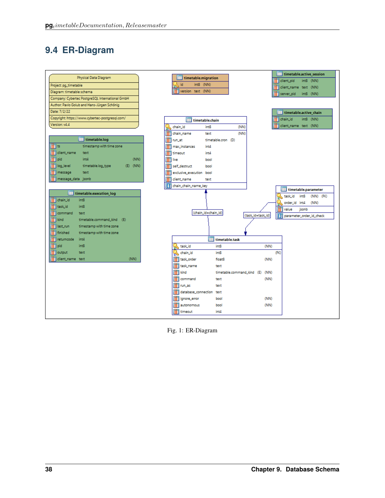## <span id="page-41-0"></span>**9.4 ER-Diagram**

| Physical Data Diagram                           |                                                  | timetable.active_session                      |
|-------------------------------------------------|--------------------------------------------------|-----------------------------------------------|
|                                                 | timetable.migration                              | dient_pid<br>int8 (NN)                        |
| Project: pg_timetable                           | int8 (NN)<br>¦sk id<br>₽                         | client_name text (NN)                         |
| Diagram: timetable schema                       | version text (NN)                                | int8 (NN)<br>server_pid                       |
| Company: Cybertec PostgreSQL International GmbH |                                                  |                                               |
| Author: Pavlo Golub and Hans-Jürgen Schönig     |                                                  |                                               |
| Date: 7/2/22                                    |                                                  | timetable.active_chain                        |
| Copyright: https://www.cybertec-postgresql.com/ | timetable.chain                                  | d chain_id<br>int8 (NN)                       |
| Version: v4.4                                   | (NN)<br>int <sup>8</sup><br>chain_id<br>Þ.       | client_name text (NN)                         |
|                                                 | H<br>(NN)<br>chain_name<br>text                  |                                               |
| timetable.log                                   | <b>Filmun_at</b><br>timetable.cron (D)           |                                               |
| ∏  ts<br>timestamp with time zone               | ŧ<br>max instances<br>int4                       |                                               |
| Ħ.<br>client_name<br>text                       | int4<br>timeout                                  |                                               |
| <b>目</b> pid<br>(NN)<br>int4                    | <b>E</b> live<br>bool                            |                                               |
| $(D)$ (NN)<br>log_level<br>timetable.log_type   | self_destruct<br>bool                            |                                               |
| Ħ.<br>message<br>text                           | exclusive_execution bool                         |                                               |
| message_data jsonb                              | H<br>client_name<br>text                         |                                               |
|                                                 | <b>Example 12</b> chain_name_key                 |                                               |
| timetable.execution_log                         |                                                  | timetable.parameter                           |
| <b>E</b> chain_id<br>int8                       |                                                  | int8<br>(NN) (FK)<br>task_id<br>Þ             |
| H.<br>task id<br>int8                           |                                                  | order_id int4<br>(NN)<br>Þ                    |
| command<br>text                                 | (chain_id=chain_id)                              | jsonb<br>value                                |
| 罰<br>timetable.command_kind (E)<br>kind         |                                                  | (task_id=task_id)<br>parameter_order_id_check |
| H<br>timestamp with time zone<br>last_run       |                                                  |                                               |
| a.<br>finished<br>timestamp with time zone      |                                                  |                                               |
| returncode<br>int4                              | timetable.task                                   |                                               |
| <b>目</b> pid<br>int8                            | task_id<br>int8                                  | (NN)                                          |
| 目<br>output<br>text                             | ेख<br>int <sup>8</sup><br>b<br>chain_id          | (FK)                                          |
| (NN)<br>client_name text                        | <b>E</b> task_order<br>float <sup>8</sup>        | (NN)                                          |
|                                                 | task_name<br>text                                |                                               |
|                                                 | <b>F</b> kind<br>timetable.command_kind (E) (NN) |                                               |
|                                                 | H<br>command<br>text                             | (NN)                                          |
|                                                 | H<br>run as<br>text                              |                                               |
|                                                 | H<br>database_connection<br>text                 |                                               |
|                                                 | ignore_error<br>bool                             | (NN)                                          |
|                                                 | autonomous<br>bool                               | (NN)                                          |
|                                                 | 目<br>int4<br>timeout                             |                                               |
|                                                 |                                                  |                                               |

Fig. 1: ER-Diagram